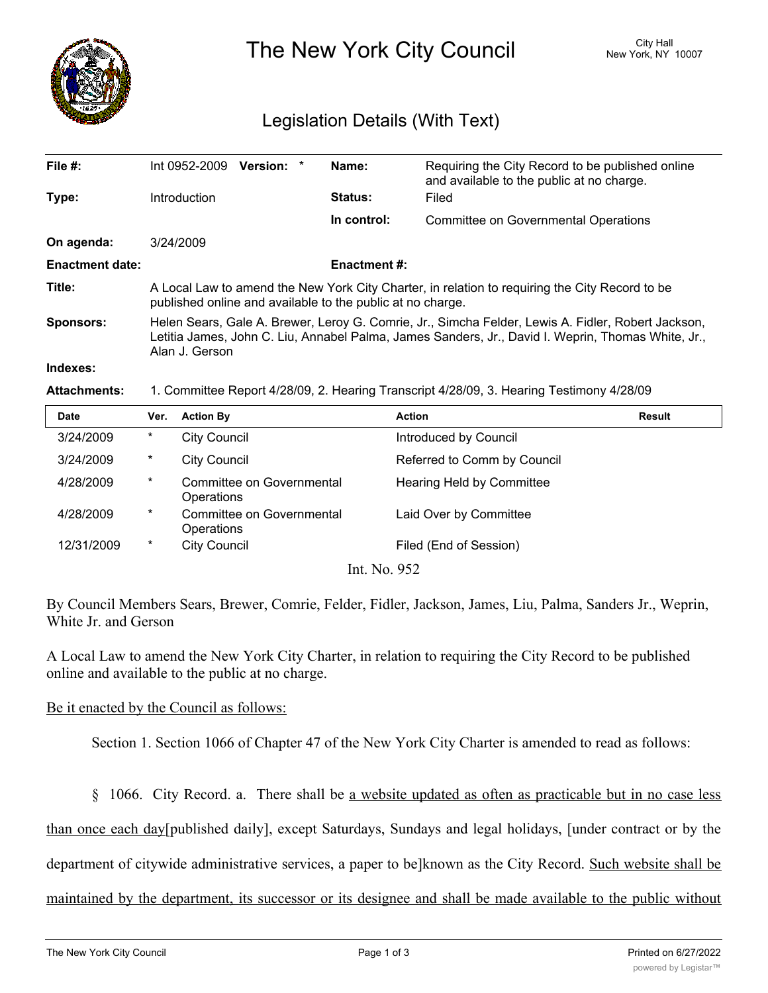

The New York City Council New York, NY 10007

# Legislation Details (With Text)

| File $#$ :             | Int 0952-2009                                                                                                                                                                                                              | Version: * |  | Name:               | Requiring the City Record to be published online<br>and available to the public at no charge. |  |  |
|------------------------|----------------------------------------------------------------------------------------------------------------------------------------------------------------------------------------------------------------------------|------------|--|---------------------|-----------------------------------------------------------------------------------------------|--|--|
| Type:                  | <b>Introduction</b>                                                                                                                                                                                                        |            |  | <b>Status:</b>      | Filed                                                                                         |  |  |
|                        |                                                                                                                                                                                                                            |            |  | In control:         | Committee on Governmental Operations                                                          |  |  |
| On agenda:             | 3/24/2009                                                                                                                                                                                                                  |            |  |                     |                                                                                               |  |  |
| <b>Enactment date:</b> |                                                                                                                                                                                                                            |            |  | <b>Enactment #:</b> |                                                                                               |  |  |
| Title:                 | A Local Law to amend the New York City Charter, in relation to requiring the City Record to be<br>published online and available to the public at no charge.                                                               |            |  |                     |                                                                                               |  |  |
| <b>Sponsors:</b>       | Helen Sears, Gale A. Brewer, Leroy G. Comrie, Jr., Simcha Felder, Lewis A. Fidler, Robert Jackson,<br>Letitia James, John C. Liu, Annabel Palma, James Sanders, Jr., David I. Weprin, Thomas White, Jr.,<br>Alan J. Gerson |            |  |                     |                                                                                               |  |  |
| Indexes:               |                                                                                                                                                                                                                            |            |  |                     |                                                                                               |  |  |

### **Attachments:** 1. Committee Report 4/28/09, 2. Hearing Transcript 4/28/09, 3. Hearing Testimony 4/28/09

| <b>Date</b>                     | Ver.    | <b>Action By</b>                        | <b>Action</b>               | Result |  |  |  |
|---------------------------------|---------|-----------------------------------------|-----------------------------|--------|--|--|--|
| 3/24/2009                       | $\ast$  | <b>City Council</b>                     | Introduced by Council       |        |  |  |  |
| 3/24/2009                       | $\ast$  | <b>City Council</b>                     | Referred to Comm by Council |        |  |  |  |
| 4/28/2009                       | $\star$ | Committee on Governmental<br>Operations | Hearing Held by Committee   |        |  |  |  |
| 4/28/2009                       | $\ast$  | Committee on Governmental<br>Operations | Laid Over by Committee      |        |  |  |  |
| 12/31/2009                      | $\ast$  | <b>City Council</b>                     | Filed (End of Session)      |        |  |  |  |
| L <sub>1</sub> $N_{\alpha}$ 052 |         |                                         |                             |        |  |  |  |

Int. No. 952

By Council Members Sears, Brewer, Comrie, Felder, Fidler, Jackson, James, Liu, Palma, Sanders Jr., Weprin, White Jr. and Gerson

A Local Law to amend the New York City Charter, in relation to requiring the City Record to be published online and available to the public at no charge.

### Be it enacted by the Council as follows:

Section 1. Section 1066 of Chapter 47 of the New York City Charter is amended to read as follows:

§ 1066. City Record. a. There shall be a website updated as often as practicable but in no case less

than once each day[published daily], except Saturdays, Sundays and legal holidays, [under contract or by the

department of citywide administrative services, a paper to be]known as the City Record. Such website shall be

maintained by the department, its successor or its designee and shall be made available to the public without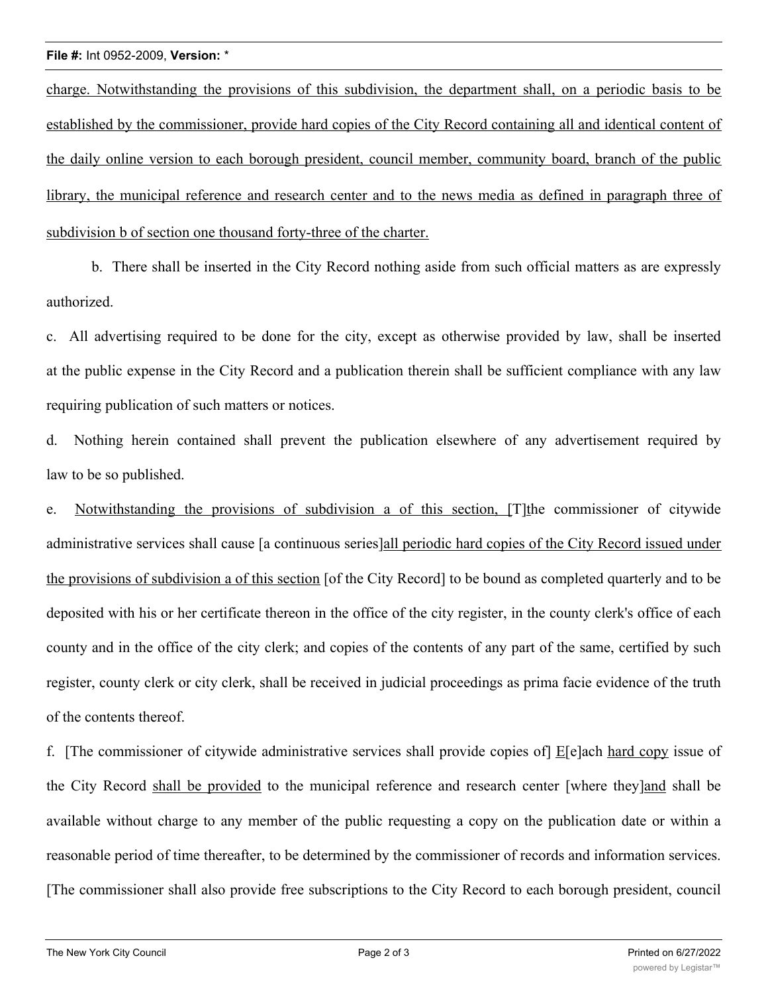#### **File #:** Int 0952-2009, **Version:** \*

charge. Notwithstanding the provisions of this subdivision, the department shall, on a periodic basis to be established by the commissioner, provide hard copies of the City Record containing all and identical content of the daily online version to each borough president, council member, community board, branch of the public library, the municipal reference and research center and to the news media as defined in paragraph three of subdivision b of section one thousand forty-three of the charter.

b. There shall be inserted in the City Record nothing aside from such official matters as are expressly authorized.

c. All advertising required to be done for the city, except as otherwise provided by law, shall be inserted at the public expense in the City Record and a publication therein shall be sufficient compliance with any law requiring publication of such matters or notices.

d. Nothing herein contained shall prevent the publication elsewhere of any advertisement required by law to be so published.

e. Notwithstanding the provisions of subdivision a of this section, [T] the commissioner of citywide administrative services shall cause [a continuous series]all periodic hard copies of the City Record issued under the provisions of subdivision a of this section [of the City Record] to be bound as completed quarterly and to be deposited with his or her certificate thereon in the office of the city register, in the county clerk's office of each county and in the office of the city clerk; and copies of the contents of any part of the same, certified by such register, county clerk or city clerk, shall be received in judicial proceedings as prima facie evidence of the truth of the contents thereof.

f. [The commissioner of citywide administrative services shall provide copies of] E[e]ach hard copy issue of the City Record shall be provided to the municipal reference and research center [where they]and shall be available without charge to any member of the public requesting a copy on the publication date or within a reasonable period of time thereafter, to be determined by the commissioner of records and information services. [The commissioner shall also provide free subscriptions to the City Record to each borough president, council